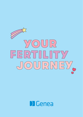

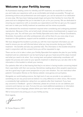# **Welcome to your Fertility Journey**

As Australasia's leading centre for infertility and IVF treatment, we would like to welcome you and make your experience with us as comfortable and simple as possible. Through our pioneering science and professional care and support, you can be assured of our dedication at every step. We have been helping people begin and grow their families for more than 30 years and we're delighted that you've decided to join us for your journey. We are dedicated to ensuring your experience with us exceeds your expectations and that we give you the support and care to make your fertility treatment as seamless and low stress as possible.

We understand the emotional investment required when considering and undergoing assisted reproduction. Because of this, we've built small, intimate teams of professionals to support you during your care. You will have your own Fertility Specialist and a team of Nurse Coordinators, Scientists, Counsellors and other professionals who will be there for you every step of your treatment to offer guidance, support and be available to answer your questions.

We have designed this booklet to provide you with the most important information you will need to ensure you are well informed about what you may encounter during your fertility treatment - the benefits and also any potential risks. The information in this booklet should be read in conjunction with the consent forms you will be requested to sign.

There can be a lot to take in when your Fertility Specialist first explains the plan for your fertility treatment and we understand it can be hard trying to get your head around the steps involved and what you need to do when. Your nursing team and patient relationship coordinator will explain the process and costs for your specific treatment in detail but you can also refer to the information in this booklet to refresh your memory.

Our patients often tell us that hearing that they're not alone in having trouble conceiving helped them cope better with their own journey. Sometimes reading about other people's experiences can be a good way to gain some perspective on your own situation. You can read about other patients' Conception Stories on the Genea website: www.genea.com.au/mystory

Alongside our world leading science, the high level of care we provide to our patients is something we are very proud and we believe it is a key difference to other clinics. We receive a consistently high satisfaction rating from our patients after their treatment. If you have any concerns or feedback - good or otherwise, please let us know so we can address your concerns and improve our care. If at any time you need additional assistance or information interpreted into your language, please advise your team who can arrange this for you.

We're honoured to be joining you on your fertility journey.

Kind regards,

ffmm

Dr Tomas Stojanov, CEO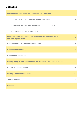# **Contents**

| Initial Assessment and types of assisted reproduction                                   | 3  |
|-----------------------------------------------------------------------------------------|----|
| 1. In vitro fertilisation (IVF) and related treatments                                  | 4  |
| 2. Ovulation tracking (OV) and Ovulation induction (OI)                                 | 12 |
| 3. Intra-uterine insemination (IUI)                                                     | 13 |
| Important information about the potential risks and hazards of<br>assisted reproduction | 14 |
| Risks in the Day Surgery/Procedure Area                                                 | 16 |
| <b>Risks in the Laboratory</b>                                                          | 18 |
| <b>Risks during pregnancy</b>                                                           | 21 |
| Getting ready to start - information we would like you to be aware of                   | 22 |
| <b>Charter of Patients Rights</b>                                                       | 25 |
| <b>Privacy Collection Statement</b>                                                     | 27 |
| Your next steps                                                                         | 32 |
| <b>Glossary</b>                                                                         | 33 |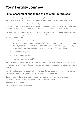# Your Fertility Journey

# Initial asessment and types of assisted reproduction

Infertility affects many people. Up to one in six couples have difficulties in conceiving. In Australasia, assisted reproduction treatments can only be provided by accredited clinics.

In your initial consultation with your Fertility Specialist, they will discuss various investigations to try to identify the cause of your infertility so that a treatment option can be recommended. Even after these tests, up to 30 percent of couples may still not have an identified cause.

Depending on your circumstances, your Fertility Specialist will recommend a specific assisted reproduction technology and develop an individualised treatment plan for you. This brochure provides information on:

- In vitro fertilisation (IVF) and related treatments such as intracytoplasmic injection (ICSI), preimplantation genetic diagnosis (PGD), preimplantation genetic screening (PGS)1, freezing eggs for fertility preservation, donating gametes (eggs or sperm), taking part in surrogacy arrangements and the transfer of frozen embryos.
- Ovulation tracking (OV)
- Ovulation induction (OI).
- Intra-uterine insemination (IUI).

Success depends on the type of treatment, the cause of infertility as well as age. Your fertility specialist will give you more information on your likelihood of success when a treatment type is selected.

New Zealand patients may access a free initial obstetric consultation with one of the Genea Oxford practitioners, this is not currently available at our other clinics.

Some patients embarking on treatment may have special moral, cultural or religious requirements. Please make these known to us and we will ensure your beliefs and requirements are respected.

1. PGD & PGS unavailable in our Oxford clinic.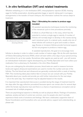# 1. *In vitro* fertilisation (IVF) and related treatments

Whether embarking on *in vitro* fertilisation (IVF), intracytoplasmic injection (ICSI), freezing eggs for fertility preservation, donating gametes (eggs or sperm), taking part in surrogacy arrangements or the transfer of frozen embryos, this information outlines the various steps to treatment.



An ultrasound scan of an ovary showing follicles

# Step 1: Stimulating the ovaries to produce eggs (oocytes)

All assisted reproductive techniques involve the monitoring of the menstrual cycle to time procedures precisely.

A follicle is a fluid-filled sac in the ovary, which has the potential to nurture a single egg to maturity. A number of follicles will normally begin to develop in the ovaries during each menstrual cycle. In a natural cycle, usually only one of these follicles will continue to grow and ovulate a mature egg. Excess or immature follicles provide hormonal support, but do not progress to produce a mature egg.

In assisted reproduction, the goal is to encourage more

follicles to develop in order to collect a safe number of mature eggs. We do this with injections of Follicle Stimulating Hormone (FSH), which will start within a few days of your period arriving and continue for up to two weeks. Sometimes other agents are used as well - you will receive an individualised medication regime developed by your Fertility Specialist and must collect your medication from a pharmacy (in Australia) or the clinic (New Zealand).

As you are undergoing the stimulation process, blood tests are used to measure hormone levels and vaginal ultrasound examinations are used to monitor the number and size of the follicles. The first blood test and ultrasound are generally conducted within a week of starting FSH. This monitoring takes place before 9am to ensure we can consult with your Fertility Specialist about your results and provide you with further instructions for the next steps – all on the same day. Your treatment may be adjusted based on the results.

It is important that unprotected intercourse is avoided during this stage of treatment (and for two days after the egg collection procedure) because sperm can remain alive for several days within the female reproductive tract and there is a chance of spontaneous conception and an increased risk of multiple pregnancy.

There are psychological aspects to infertility as well as physical effects. Feelings of frustration, sadness, anxiety and lack of control are common, even for people who don't normally experience these sorts of emotions and feelings. We have a dedicated, supportive team of Nurse Coordinators and Counsellors who can provide advice, support and understanding, so please ask.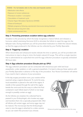#### RISKS - For full details refer to the risks and hazards section

- Medication side effects
- Exposure to human substances
- Premature ovulation / conception
- Cancellation of treatment cycle
- Ovarian Hyper-Stimulation Syndrome (OHSS)
- Freeze all (embryos)
- Multiple pregnancy following unprotected intercourse during treatment
- Rare but serious long term risks
- Cycle commencement time

### Step 2: Preventing premature ovulation before egg collection

Ovulation is the process by which the body recognises a mature follicle and releases a hormone called Luteinising Hormone (LH) to stimulate the follicle to expel the egg into the fallopian tube. During treatment you will be prescribed medication to inhibit this natural release, so that the eggs produced in the follicles can be collected by your Fertility Specialist.

### Step 3: 'Triggering' ovulation

When blood tests and ultrasound results indicate the time is optimal, you will be provided with instructions to inject a drug to mimic the body's natural LH surge. This will be a single injection that is administered at a specified time and the egg collection procedure is typically scheduled 36 hours later.

## Step 4: Egg collection procedure (Oocyte pick-up; OPU)

The egg collection procedure can be conducted with intravenous pain relief and local anaesthetic; under sedation or with a general anaesthetic. It is best to discuss these options with your Fertility Specialist in advance of the day of the procedure. Your Nurse Coordinator will advise if you need to fast in advance of your procedure.

In the day surgery procedure room, your ovaries will be scanned using a vaginal ultrasound. To numb the area, local anaesthetic is placed in the wall of the vagina. A needle is then passed through the wall of the vagina beside the cervix and into the ovary to collect the fluid contained in each follicle (each of which is now large enough to possibly contain an egg).

As the follicles are emptied, the collected fluid is passed to your Embryologist, who locates any eggs and transfers them into a specially prepared dish. (Not all follicles will contain eggs, and some eggs may not be mature). The microscope that the Embryologist uses to view the eggs is attached to a video camera so you can watch this process if you choose.<br>So you can watch this process if you choose.

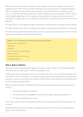While some discomfort due to pressure on the ovary is normal, only around 1 in 20 women experience pain. Pain relief is provided if necessary and any discomfort managed during and after the procedure. Some women may feel faint or light headed after the procedure, don't worry - our Nurses will remain close by to monitor and provide you with support. There can be minor bleeding (spotting) from the vagina, during and after your egg collection procedure. If this happens, please use liners or pads (not tampons) for the next week, to minimise the risk of infection.

For egg donors, at this stage the eggs will be taken to the laboratory on behalf of the recipient.

For egg vitrification procedures, the eggs will be taken to the laboratory and frozen for future use.

In both situations, treatment finishes here, but there can be some side effects over the next few days such as tiredness, discomfort and bloating.

#### RISKS - For full details refer to the risks and hazards section

- Anaesthetic complications
- Bleeding
- Infection
- Injury to organs near the ovaries
- Falls and injury
- A follicle may not yield an egg
- No eggs collected

## Step 5: Sperm collection

The sperm used to inseminate the eggs can be either fresh or frozen. Your Fertility Specialist will advise you on which option is the most suitable for you.

Fresh semen can be collected in one of our private rooms at our clinic; at home (for those who live within an hour of the clinic); or through a surgical sperm retrieval procedure. If collecting at home you must use one of the clinic's home collection kits and the sample must be delivered to the clinic by the sample's owner.

Sperm can also be frozen in advance of the day of the egg collection procedure for reasons such as:

- Previous difficulties in collection:
- The male partner is unavailable on the day of the egg collection procedure; or
- For cycles involving donor sperm.

In the case of donor sperm, a quarantine period of 4 months applies before frozen sperm can be used.

All samples are prepared for use by a washing procedure that removes the seminal plasma, debris and immotile sperm.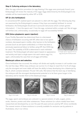### Step 6: Culturing embryos in the laboratory

After the egg collection procedure (or egg thawing if the eggs were previously frozen), your Embryologist will review the maturity of the eggs. Eggs determined by the Embryologist to be suitable will be inseminated by either IVF or ICSI.

# IVF (*In vitro* fertilisation):

In conventional IVF, washed sperm are placed in a dish with the eggs. The following day they are examined by the Embryologist to assess if they have successfully fertilised. In normal fertilisation, the Embryologist should see 2 pronuclei (structures which contain genetic information) - 1 from the sperm and 1 from the egg, contained within a single cell. Not all eggs will fertilise and, unfortunately, occasionally no eggs will successfully fertilise.

# ICSI (Intra-cytoplasmic sperm injection):

If your Fertility Specialist has determined there is a decreased chance of fertilisation occurring with IVF, either due to low sperm numbers; decreased sperm motility; other barriers to the fertilisation process (such as anti-sperm antibodies); or if there has been a previously experienced failure to fertilise using IVF, then ICSI may be used. The suitability of ICSI is determined in each individual treatment. The Embryologist will select sperm based on appearance and activity and inject a single sperm into each mature egg. It is, again, unfortunately the case that not all eggs will fertilise.



A single sperm injected into an egg during the ICSI process

### Blastocyst culture and selection:

Once fertilisation has occurred, the embryo will divide and rapidly increase in cell number over the next few days. While many embryos can survive 2 or 3 days to reach the 4 to 8 cell stage, only the strongest and most viable will have the ability to keep developing into a blastocyst by Day 5, which contains between 75 and 100 cells. We believe that the best way of identifying the embryos with the strongest developmental potential is to let them grow longer in the laboratory and to transfer them at the blastocyst stage.









Day 2: 3-4 cells Day 3: 6-8 cells Day 4: morula Day 5: blastocyst

The eggs, sperm and embryos are cultured in a special solution of salts, sugars, amino acids, vitamins, protein and other substances. These solutions (or culture media) have been researched and developed by us over the past 20 years and are used by IVF clinics worldwide. The newest version of these solutions is currently available for exclusive use by patients in Australasia, only in our clinics.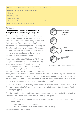#### RISKS - For full details refer to the risks and hazards section

- Exposure to human and animal substances
- Infection
- Handling error
- External factors
- Potential health risks for children conceived by IVF/ICSI
- No fertilisation or embryo development

#### GeneSure\*

# Preimplantation Genetic Screening (PGS) Preimplantation Genetic Diagnosis (PGD)

Unlike conventional IVF, where the Embryologist chooses which embryo will be transferred to the uterus based on a visual assessment, we offer both Preimplantation Genetic Screening (PGS) and Preimplantation Genetic Diagnosis (PGD) using our GeneSure technology which takes the IVF process one step further, allowing a more informed choice of embryo for transfer based on the genetic or chromosome makeup of the embryo.

If your treatment includes PGS and/or PGD, your embryos will undergo a procedure called hatching where a small incision in the outer layer of the embryo is made using a laser. To the best of our knowledge hatching the embryos is not harmful and does not increase the risk of monozygotic twinning.



The blastocyst biopsy process used in PGD

In fact, embryos must hatch in order to implant in the uterus. After hatching, the embryos are cultured until they have reached the blastocyst stage and an embryo biopsy is performed by removing a small sample of cells (less than 5%) from the trophectoderm (the structure of the embryo which becomes the placenta in a successful pregnancy).

These cells can then be tested using different techniques either alone or in combination: Next Generation Sequencing (NGS); and linkage analysis via Polymerase Chain Reaction (PCR) and/or karyomapping.

Genetic screening and your individual circumstances should be discussed with your Fertility Specialist before commencing treatment, but as a general guide:

- NGS assesses the chromosome make-up of embryos and this may be appropriate for people who:
	- have had recurrent miscarriages;
	- have experienced previous unsuccessful IVF attempts;

<sup>\*</sup> Not currently available at Genea Oxford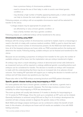- have a previous history of chromosome problems;
- need to choose the sex of their baby in order to avoid a sex-linked genetic condition; or
- may develop a high number of healthy appearing blastocysts, in which case NGS can help to choose the most viable embryo to use, sooner.

Following analysis, an embryo with an acceptable chromosome result will be selected for transfer to the uterus.

- Linkage analysis may be appropriate for people who:
	- are affected by or carry a known genetic condition; or
	- have a family member who has a genetic condition.

Following analysis, an unaffected embryo will be transferred to the uterus.

### Chromosome testing using NGS\*:

Embryos with the wrong number of chromosomes could fail to implant, lead to a miscarriage or result in the birth of a baby with a serious medical condition. NGS is used to check that each embryo has the correct number of chromosomes present. As the NGS test itself takes some time, all of the biopsied embryos are frozen while our PGD scientists perform the testing and determine the results. Following testing, suitable embryos can be thawed and transferred to the uterus.

Because we are excluding a proportion of embryos from transfer for the cycle, the number of available embryos will be lower, but the implantation rate per embryo transferred is higher.

An embryo may return a result indicating a mixture of abnormal and normal cells (referred to as mosaicism) and you will be required to undergo additional genetic counselling before such embryos can be considered for transfer. The decision to transfer an embryo with mosaicism is made with the understanding that there may be an increased risk of an adverse clinical outcome. Your treating IVF specialist will support you in making the decision to transfer such an embryo and will help answer any questions you may have.

Please also refer to the PGS embryo screening brochure and PGS patient information

## Specific genetic disease testing using karyomapping or PCR\*:

For some patients who have a known genetic condition or risk factors, a genetic test is performed to check for those specific diseases. The first step involves a review of your suitability for either karyomapping or PCR test development.

This work-up phase will usually take between 2-4 weeks to develop for karyomapping or 10-12 weeks for PCR linkage. Once the work up is completed, an IVF cycle can be initiated. Generally fertilisation is achieved using ICSI and on Day 5 or 6 of embryo development the scientist will take a biopsy sample to diagnose the genetic status of the embryo.

Both NGS and linkage analysis techniques can be combined to obtain the benefit of both tests. In this situation, all embryos are frozen and full results are available in line with NGS testing outcomes.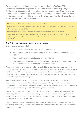We are committed to offering our patients the latest technology. PGS and PGD are not automatically performed during IVF so this should be discussed specifically with your Fertility Specialist to determine if this is suitable for your circumstances. There may also be circumstances that come to light while you are undergoing your treatment where it is believed our GeneSure technology could improve your clinical outcomes. Your Fertility Specialist will discuss this with you if clinically appropriate.

#### RISKS - For full details refer to the risks and hazards section

- Not all embryos will reach the blastocyst stage or develop appropriately to proceed with PGD testing
- No diagnosis due to test failure
- False diagnosis PGD/PGS laboratory techniques are generally 95-99% accurate
- Even if you are fertile and having PGD for genetic disease testing, you may not fall pregnant
- Affected pregnancy (baby with a serious medical condition) following unprotected intercourse during treatment.

## Step 7: Embryo transfer and excess embryo storage

Embryo transfer options include:

- Fresh transfer following the egg collection procedure; or
- Fresh transfer following cycle monitoring to receive an embryo created from donor eggs; or
- Fresh transfer following egg thawing and fertilisation; or
- Frozen transfer of a thawed embryo (Cryo) following cycle monitoring (includes PGD/ PGS tested embryos and surrogate cycles where offered)

Women having an embryo transfer that is not part of the stimulated cycle (such as frozen embryo transfers, recipients of donor eggs and surrogate cycles) will have their menstrual cycle monitored so that the embryo can be transferred to the uterus at the right time. This might be undertaken in your natural menstrual cycle, or might involve your Fertility Specialist developing an individualised medication regimen.

An embryo transfer is usually straightforward and painless, generally no more (or less) uncomfortable than having a Pap test and usually does not require sedation. A fine soft catheter that has been loaded with the embryo is passed through the cervix into the uterus with ultrasound guidance and generally little recovery time is required.

Worldwide, some clinics transfer more than 1 embryo to try to increase success rates. Our technology allows us to achieve world-leading success rates with single embryo transfers. Transferring just 1 embryo at a time dramatically reduces the chance of a multiple pregnancy and, therefore, the associated risks.

Freezing spare embryos does not lower the chance of implantation. Therefore, the choice of transferring for example, 1 embryo fresh and later, 1 embryo frozen-thawed does not lower the chance of pregnancy.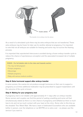

The transfer of an embryo into the uterus

As a result of a stimulated cycle there may be extra embryos that are not transferred. These extra embryos may be frozen for later use for another attempt at pregnancy. It is important to note that not all embryos are suitable for freezing and some may not survive the thawing process.

It is important that unprotected intercourse is avoided during a frozen embryo transfer cycle to reduce the chance of spontaneous conception and the associated increased risk of multiple pregnancy.

#### RISKS - For full details refer to the risks and hazards section

- You may not fall pregnant
- Ectopic pregnancy
- Miscarriage
- Multiple pregnancy
- Baby with serious medical condition

#### Step 8: Extra hormonal support after embryo transfer

In some women, the ovaries do not produce enough hormones on their own to support a pregnancy so at times additional medication may be prescribed to support implantation until the outcome of the cycle is known.

### Step 9: Waiting for your pregnancy test

A pregnancy test is not reliable until approximately 9-11 days after an embryo transfer. Some women and couples can find this period of waiting unsettling and some will feel simultaneously elated as there is a new chance of pregnancy and deflated as there is much less to do and not as much contact with your team at the clinic. Some refer to this time as the dreaded 'Two Week Wait'. We have a team of dedicated Counsellors who are available (either in person, over the telephone or via SKYPE) at no extra cost – so please use this service if you want to.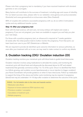Please note that a pregnancy test is mandatory if you have received treatment with donated gametes or are a surrogate.

Many factors will contribute to the success of treatment, including age and cause of infertility. For our latest success rates, please refer to our websites: www.genea.com.au/successrates (Australia) and www.geneaoxford.co.nz/success-rates (New Zealand).

96% of couples who achieve a successful pregnancy with us, do so within 3 stimulation cycles and any additional transfer cycles.

### Step 10: After your pregnancy test

Even with the best science, will and care, not every embryo will implant and create a pregnancy. If you are not pregnant, your team are available to support you and help you plan your next steps.

For those with a positive pregnancy test, an ultrasound is required at 7 weeks gestation (3 weeks after the initial positive test) to further monitor the pregnancy. From that point, our team hand over care to your GP, Obstetrician or Midwife.

We are required to provide de-identified cycle outcome information to various authorities, so even after your treatment with us is over, we may need to make contact to confirm any details.

# 2. Ovulation tracking (OV)/ Ovulation induction (OI)

Ovulation tracking monitors your menstrual cycle with blood tests to guide timed intercourse.

Ovulation induction involves using medications to stimulate the ovaries, and monitoring the menstrual cycle with blood tests and ultrasounds (as discussed above for IVF and related treatments) that generally commence at Day 7 to 12 of the cycle. Once it is identified that there is a follicle growing, and ovulation occurs (spontaneously or via an injection to trigger ovulation) your Nurse Coordinator will provide guidance on when to have intercourse. Follow-up medication to support the lining of the uterus and further cycle monitoring may be required. A pregnancy (blood) test may be undertaken 14-16 days after ovulation to determine the outcome of the cycle.

### RISKS - For full details refer to the risks and hazards section

- Medication side effects
- Exposure to human substances (FSH injections only)
- Premature ovulation / conception
- Cancellation of treatment cycle
- Multiple pregnancy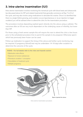# 3. Intra-uterine insemination (IUI)

Intra-uterine insemination involves monitoring the menstrual cycle with blood tests and ultrasounds (as discussed above for IVF and related treatments) that generally commence at Day 7 to10 of the cycle, and may also involve using medications to stimulate the ovaries. Once it is identified that there is a single follicle growing, and ovulation occurs (spontaneous or via an injection to trigger ovulation) you will be advised when to attend the clinic for the insemination procedure.

The procedure involves depositing washed sperm directly into the uterus using a catheter. The outcomes after an IUI are very much dependant on the underlying cause of infertility, but lower than IVF.

For those using a fresh semen sample this will require the man to attend the clinic a few hours prior to the scheduled procedure time to permit the sample to be prepared. Otherwise sperm which has previously been frozen can be used.

Follow-up medication to support the lining of the uterus and further cycle monitoring may be required. A pregnancy (blood) test may be undertaken 14-16 days after ovulation to determine the outcome of the cycle.

RISKS - For full details refer to the risks and hazards section

- Medication side effects
- Exposure to human substances
- Premature ovulation / conception
- Cancellation of treatment cycle
- Multiple pregnancy



Sperm injected into uterus

Intra-uterine insemination procedure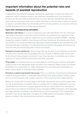# Important information about the potential risks and hazards of assisted reproduction

In appropriate circumstances assisted reproduction significantly increases the chance for pregnancy, often in situations where it was otherwise impossible prior to its introduction. However, as with any medical treatment there are risks. We have identified the risks during each treatment step above and more in-depth information on the key risks of which you should be aware is provided below. You should discuss this and any questions you may have with your Fertility Specialist prior to commencing any treatment.

### Cycle risks, including during stimulation:

Medication side effects: It is usual to experience some mild side effects from the medication. This tends to be similar to, but more pronounced than, the symptoms you experience in the lead up to your period or what you might know as pre-menstrual syndrome (PMS) - bloating, headaches, nausea, irritability, mood swings and breast tenderness. All potential side effects are outlined in the Consumer Medicines Information sheets provided by the manufacturers and enclosed with each medication. It is important that you read this information and discuss any concerns with your Fertility Specialist or Nurse Coordinator.

Exposure to human substances: Certain drugs that may be used in your treatment are derived from the urine of women who are pregnant who are recruited in different parts of the world by the relevant drug company concerned. In over three decades of worldwide use of urinary products, no case of infection transmission has been confirmed.

**Drug supply:** It is important that you are responsible for monitoring your personal medication supply as lack of the appropriate drugs may affect your treatment. Please contact your Nurse Coordinator for a prescription to collect medication from your pharmacist (Australia) or to obtain a prescription or medication (New Zealand).

Premature ovulation/unprotected intercourse: There is a small risk of spontaneous (premature) ovulation during stimulation; a medicated frozen (Cryo) cycle; fresh recipient transfer cycles; prior to timed intercourse with ovulation induction or IUI; and at the time of egg collection.

Sperm can remain alive for several days in the female reproductive tract and this means there is a risk of spontaneous conception (and an increased risk of multiple pregnancy) if you have unprotected sex at this time. To guard against this risk, you should refrain from unprotected sexual intercourse between the third day of your stimulation (FSH) medication until 2 days after your egg collection procedure or as advised by your Nurse Coordinator. This is particularly important if you are an egg donor, surrogate, (or a PGD patient having embryo testing for a genetic condition). We recommend you use barrier contraception.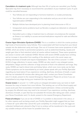Cancellation of a treatment cycle: Although less than 5% of cycles are cancelled, your Fertility Specialist may find it necessary to recommend the cancellation of your treatment cycle. A cycle could be cancelled because:

- Your follicles are not responding to hormone treatment, or ovulate prematurely;
- Your follicles are over-responding to the medication and you are at risk of ovarian hyperstimulation (OHSS);
- Multiple follicles have developed prior to planning timed intercourse or IUI; or
- Unexpected uterine problems (such as fibroids or polyps) are detected on ultrasound examination.
- Cancelled cycle or delay in treatment due to unforseen circumstances (for example an illness or an inability to access services/medications required for safe and effective treatment).

Ovarian Hyper-Stimulation Syndrome (OHSS): This is a condition in which the ovaries produce high levels of hormones/too many follicles. This is associated with fluid moving from your blood vessels into the abdominal cavity and lungs. One out of 3 women have some symptoms of mild OHSS, which are similar to premenstral symptoms, such as abdominal bloating, nausea and weight gain (due to fluid retention) which all resolve without treatment. These same symptoms are worse in women with moderate OHSS. Women with severe OHSS usually have vomiting and an increase in discomfort from swelling of the abdomen and in the worst cases can develop shortness of breath and require hospitalisation. The risk of this is around 1 in 200 (0.5%) of egg collections. In severe cases, OHSS can also result in very enlarged ovaries, dehydration, fatigue and the collection of large amounts of fluid in the abdomen and lungs. Very rarely, OHSS can lead to blood clots and kidney failure, which even more rarely can be fatal. (These symptoms can be exacerbated by air travel, please speak with your Fertility Specialist regarding any travel plans.) If you experience vomiting, diarrhoea, shortness of breath, or pain that has not subsided 40 minutes after taking pain relief, contact your Nurse Coordinator and, if in doubt, present to the nearest Emergency Department. Please let us know if you are hospitalised at any stage during your treatment (for any reason).

Ovarian torsion: In around 1 in 1,000 cycles an enlarged stimulated ovary can twist on itself because the ovary is heavier from more follicles. This twisting can cut off the blood supply and cause acute pain that necessitates immediate hospital admission. Unless corrected quickly by surgery the affected ovary may need to be removed. If you experience vomiting, diarrhoea, shortness of breath, or pain that has not subsided 40 minutes after taking pain relief, contact your Nurse Coordinator and, if in doubt, present to the nearest Emergency Department.

Freeze all embryos: If you are at risk of OHSS or if a problem is discovered in the uterus, or for other reasons such as being unwell, your Fertility Specialist might suggest that you have a 'freeze-all' cycle rather than cancel the cycle completely. In a freeze-all cycle, the eggs are collected, fertilised and cultured to Day 5, but no embryo will be transferred in this cycle and any suitable embryos will be frozen for possible future use.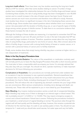Long-term health effects: There have been very few studies examining the long-term health effects of IVF for women, other than some studies relating to cancer. A number of large studies have investigated the relationship between the use of fertility drugs and breast cancer. Combining these studies, the risk of using fertility drugs has been investigated in over 45,000 women and no overall increase in the rate of breast cancer has been found. Ovarian and uterine cancers are much more uncommon and therefore more difficult to study. However, most studies have shown no significant increase in the risk of developing these cancers due to fertility drugs. Some studies have raised questions about whether there is an increase in cancer risk associated with the duration of fertility drug use, or use of specific types of fertility drugs among certain groups of infertile women. To date there is no conclusive evidence that these factors increase the risk of cancer.

Although the findings of these studies are reassuring, it is important to remember that IVF has only been available for just over 30 years and that it is only in the last 2 decades that IVF has been used by large numbers of women. Therefore, questions remain about the very long-term risks of using fertility drugs, particularly for rare forms of cancer. Also, little is known about the effect of fertility drugs in women with a strong family history of breast or ovarian cancer, or in women with a personal history of cancer prior to fertility treatment.

Finally, some studies show that simply having infertility may place a woman at higher risk (i.e. a risk independent of treatment).

## Risks in the Day Surgery/Procedure Area

Effects of Anaesthetic/Sedation: The nature of the anaesthetic or medication routinely used will normally permit you to leave the Day Surgery/Procedure Area after a short recovery period. You must plan to have a responsible adult accompany you home. It is strongly advised that they also stay with you overnight. You should not drive, operate machinery or make important decisions for 24 hours following your procedure.

Complications of Anaesthetic: Our procedures are normally performed under sedation but on occasions it may be necessary to use a general anaesthetic. General anaesthesia has increased risks. It is important that you follow the nil by mouth instructions from your Nurse Coordinator (no food or fluids, including chewing gum for at least 6 hours before your procedure). This will reduce the risk of aspirating any stomach contents into your lungs whilst you are unconscious. More serious complications, including nerve damage and death, are extremely rare. These risks will be explained to you in more detail by your Anaesthetist.

Major Bleeding: Any invasive medical procedure carries a small risk of unexpected bleeding. Major bleeding may rarely occur if there is damage to an internal organ or blood vessel. This risk is probably around 1 in 5,000 to 1 in 10,000. This may require emergency surgery to correct and a blood transfusion if blood loss is severe. Following the procedures involved in your treatment, a small amount of vaginal bleeding is normal. The puncture sites through the vaginal wall will heal quickly and the bleeding will stop, however, this remains a potential site of infection for the next few days. It is safe to use sanitary pads or liners. You should not use tampons for 1 week and you should also avoid saunas, hot water spas and very hot baths.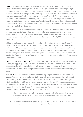Infection: Any invasive medical procedure carries a small risk of infection. Hand hygiene, wearing of protective attire (gloves, scrubs, gowns, evewear and masks for example), high standards of house-keeping and the use of aseptic or sterile techniques and equipment are all part of our service to ensure your timely recovery and to reduce the risk of infection. All needles used for any purpose (such as collecting blood or eggs), and all of the plastic that comes into contact with your gametes or embryos in the laboratory is new. Surgical instruments are cleaned and sterilised after every occasion of use in line with standards that meet or exceed those approved by the relevant state Health Department for day surgery units (Australia) or the Ministry of Health (New Zealand).

Some patients are at a higher risk of acquiring a serious pelvic infection (in particular ovarian abscess) as a result of egg collection. These situations include prior pelvic inflammatory disease, obstructed fallopian tubes (hydrosalpinx), endometriosis, ovarian cysts or difficult to access ovaries. The overall risk of a serious infection is around 1 in 1,000, but higher in these situations.

Additionally, all patients are screened for infection risk on admission to the Day Surgery/ Procedure Area, so that additional precautions may be taken to protect other patients and staff. These additional precautions range from applying dressings to protect wounds/skin, to requesting patients with respiratory symptoms to wear a mask. In severe cases as medically indicated, the procedure may be cancelled or postponed until you are well. You should talk to your Fertility Specialist or Nurse Coordinator if you are not feeling well prior to, or following any planned procedures.

Injury to organs near the ovaries: The physical manipulations required to access the follicles to collect your eggs may occasionally result in injury to the organs near the ovaries, such as the bladder, bowel or blood vessels. Rarely, injury to an adjacent structure such as the bowel or blood vessel can be a severe complication and may require blood transfusions and surgery for repair.

Falls and Injury: The unfamiliar environment of the Day Surgery/Procedure Area, combined with the fact you may have medication during your admission can increase the likelihood of falls and injury whilst in our care. Our Nurses will ask you a series of questions when you are initially admitted to identify any pre-existing conditions and the need for increased resources or supervision during your visit. If you normally use any mobility aids or visual aids, please bring these with you to the Day Surgery/Procedure Area. Our Nurses will orientate you and ensure the environment is as safe as possible, but you should still:

- Take special care when walking or standing, particularly after a procedure where anaesthetic, sedation, or administration of pain-relieving medication has been involved.
- Tell your Nurse or Fertility Specialist if you notice any tenderness or soreness over a bony area or you notice any reddened, blistered or broken skin.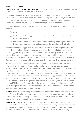### Risks in the Laboratory

Exposure to human and animal substances: During the course of your fertility treatment you will be exposed to a limited set of biological materials.

For couples, we assume that any semen or sperm-containing fluid you or your partner provide the clinic for use in your treatment is that of your partner, with whom you usually have unprotected sexual intercourse. Therefore, we infer that any possible infectious or genetic hazards brought about by using the semen or sperm you give us are not new.

In the case of donated semen, the gametes must come from a donor quarantined for at least 4 months:

- (i) with us; or
- (ii) Another gamete bank appropriately licensed or accredited in accordance with relevant legislation; or
- (iii) An overseas gamete bank that uses the same screening criteria against infectious diseases as is required by law and by regulation in Australia and New Zealand.

In the case of donated eggs, there is a potential for transfer of infectious agents which we reduce by; i) creating embryos and freezing for a quarantine period before transfer or ii) freezing eggs for the quarantine period. In some cases your Fertility Specialist may consider that the risks from treatment are low enough to warrant you considering a waiver of the quarantine period to permit a fresh transfer. This will be discussed with you by your Fertility Specialist and you will be asked to sign a consent document regarding the infection risks.

Many substances and supplies are used in laboratory culture systems. These are always purchased from the most reputable suppliers and are of the highest possible grade of purity. However, whilst the best possible care is taken in their use, we cannot guarantee that impurities or contaminants that affect laboratory results might not occur. In particular, human albumin forms part of the culture solutions used to prepare gametes and embryos, and some of this albumin is therefore transmitted along with transferred eggs or embryos. The albumin is prepared by prolonged heat treatment that kills viruses. It is purchased from overseas suppliers and is a pharmaceutical quality product. The enzyme (hyaluronidase) that is used to prepare eggs for ICSI is derived from animals and is also prepared by prolonged heat treatment. The use of these products is standard in IVF programs everywhere and to date there have been no reported disease complications from their use.

Infection: There can occasionally be an undetected infection within the female reproductive tract. Some of this infective material may be collected with the eggs. Because the culture solutions used in the laboratory are designed to promote biological growth, the infection can grow in the embryo culture dishes and destroy the embryo(s).

Handling error: The provision of assisted reproductive treatment is a highly specialised area and involves human manipulation of your gametes (eggs and sperm). Gametes and embryos can only be seen under the microscope. Very precise movements and manipulations of your gametes and embryos must be undertaken in the laboratory. It takes years of training to 19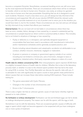become a competent Scientist. Nevertheless, occasional handling errors can still occur even by the most experienced Scientists. There are circumstances where there will be no embryos to transfer, which is not due to human error. However, very rarely, an embryo (or gamete) loss is due to human error that was preventable. Everything that we do is designed to avoid such incidents. However, if such a loss does occur, you will always be fully informed of the circumstances and supported. We will, at your election EITHER refund the relevant cycle fees to you OR re-provide treatment at no out of pocket cost to return you to the situation you would have been in, but for the incident. These circumstances are very rare and you will always be fully informed of any incident that affects your treatment.

External factors: We are not (and will not be) liable in circumstances where there has been an error, mistake, failure, damage or loss caused by, or caused in substantial part by, circumstances or people beyond our direct control or practical ability to detect. This includes, but is not limited to situations of damage or loss caused by:

- Faulty or defective or, in retrospect, sub-optimally designed equipment or consumables that have been used in accordance with manufacturer's instructions and/or maintenance schedules and/or generally accepted practice; and
- Events including natural disasters and catastrophic accidents not attributable to our conduct, whether innocent, intentional, negligent or malevolent;
- A person or persons or company or government agency outside of our control, including but not limited to criminal acts, acts of terrorism, changes to laws or regulations, industrial action, third party corporate collapse or orders of a court.

Health risks for children conceived by ICSI: After intracytoplasmic sperm injection (ICSI) there is a slightly increased chance of health risks for children. Whether this is due to the laboratory process itself, or whether it is due to the inherent sperm problem that has led to the need for using ICSI, is unclear. Your Fertility Specialist can discuss the specific risks with you. It is advisable for men with significantly low sperm counts to have genetic tests performed to detect causes that can increase these risks before starting ICSI treatment. These include testing for:

- The genes associated with Cystic Fibrosis;
- Changes in the number of sex chromosomes; and
- Errors in the Y chromosome.

There is also a higher risk that an unknown genetic cause of male factor infertility might be passed on to male children.

No fertilisation or embryo development: Fertilisation can fail and fertilised eggs can fail to divide or undergo development properly. The reason can lie with the sperm, with the egg or both.

Sometimes it can lie with the laboratory. There are occasional genetic causes of difficulty with eggs or sperm which might not become apparent or be suspected until you have undergone one or more cycles of treatment.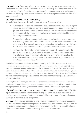PGD/PGS biopsy (Australia only): It may be that not all embryos will be suitable for embryo biopsy and GeneSure analysis, but in some cases could develop should they be transferred to the uterus. Your Fertility Specialist may discuss transferring embryos that have no information available and inherently would then have the same risk of carrying the condition for which PGD was considered.

### False diagnosis with PGD/PGS (Australia only):

All medical tests have a small risk of an incorrect result. This means either:

- False negative where the chromosome count is normal; or where no abnormal gene is identified, but the embryo is actually abnormal or affected by the genetic disease in question. This may be caused by contaminated genetic material or a mixture of normal and abnormal cells in an embryo or a faulty test result that has failed to identify the abnormal genes or chromosomes.
- False positive where an embryo is diagnosed as having abnormal chromosomes or having the genetic disease in question, but this does not represent the true status of the embryo. This is usually caused by a mixture of normal and abnormal cells in an embryo, but a faulty test or contaminated genetic material can also be a cause.
- No diagnosis due to failure of development or inconclusive genetic results, the genetic status of the embryo may remain unknown. As such, these embryos would inherently have the same risk as an untested embryo of carrying the condition for which PGD/PGS was considered and should be transferred at your own risk after consultation with your Fertility Specialist.

Due to the tiny amount of material available for testing, PGD/PGS as a process is less accurate than prenatal diagnosis by amniocentesis or chorionic villus sampling (CVS). Also, even in a blastocyst, embryo cells are not in the final form that they will have as a fetus and placenta after implantation. PGD/PGS does not completely exclude errors as the embryo can continue to change as it develops further. So even if you have PGD/PGS, you should still have the usual first trimester pregnancy screening tests that you and your pregnancy carer would otherwise consider.

Following PGD/PGS analysis, affected and/or abnormal embryos are classified as clinically unsuitable. They may be used for training purposes or frozen for future follow-up confirmation testing or possible research (your consent for research would be sought separately).

PGD/PGS (Australia only) may reveal new genetic information: If undergoing PGD/PGS it is important to note that the molecular genetic testing can reveal information that you may not have been aware of before embarking on treatment, this could include information about the parentage of those individuals being tested.

New knowledge: Assisted reproductive services are constantly evolving and new knowledge can alter the information provided to patients. We encourage patients to stay informed and visit our website(s). Once you are no longer receiving treatment, we do not have an obligation to inform you of new information that may or may not turn out to be relevant.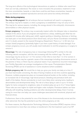The long-term effects of the technological interventions on patient or children who result from them are not fully understood. The newer or more innovative the procedure, treatment or test the more uncertainties, hazards, or risks there could be and these uncertainties, hazards, or risks are inherent in assisted reproductive services and cannot be entirely eliminated.

### Risks during pregnancy

You may not fall pregnant: Not all embryos that are transferred will result in a pregnancy. The embryo may fail to implant, or when a pregnancy is established it may not carry to term. This may be for various reasons, including, the energy stored in the embryo(s), chromosome abnormalities or other physical causes.

Ectopic pregnancy: The embryo may occasionally implant within the fallopian tube or elsewhere instead of the uterus. If you are pregnant and experience a sharp, stabbing pain (that has not subsided 40 minutes after taking pain relief); vaginal spotting or bleeding; dizziness or fainting; low back pain or low blood pressure (from blood loss), call your Nurse Coordinator immediately and, if in doubt, present to the nearest Emergency Department. There is a 1 in 50 risk of an ectopic (tubal) pregnancy (potentially higher if you have a past history of tubal damage). If an ectopic pregnancy occurs, you will usually need medication to end the pregnancy or surgery to remove it.

Miscarriage: The rate of pregnancy loss or miscarriage following IVF is similar to the rate following natural conception, with the risk increasing with the mother's age. The rate of miscarriage may be as low as 1 in 7 for women in their 20s to more than 1 in 2 for women in their mid-40s.There may be a genetic cause of the miscarriage including chromosome errors in the parents or fetus; or there may be a physical reason. If you experience recurrent miscarriage, your Fertility Specialist can arrange investigations of the cause. Preimplantation Genetic Screening (PGS) can be of assistance in some situations (where available).

Multiple pregnancy risk: We would like to help you grow your family one baby at a time. If you have had trouble conceiving, the idea of having 2 babies at one time could be appealing. However, multiple pregnancies place an increased physical burden on the mother, including an increased risk of miscarriage, high blood pressure, bleeding and premature birth and death of the babies. Severe prematurity is much more likely when carrying twins, leading to abnormalities and developmental delay. The risk of a fetus dying in utero is up to 10 times higher for twins compared to singletons; rates of cerebral palsy are up to 4 to 7 times higher. These risks are even higher for triplet and higher order multiples. Premature babies can have difficulty with breathing, feeding problems and other developmental delays. Even if normal, caring for more than one baby can cause challenges associated with emotional, physical and financial stress.

Furthermore, there is the potential for one of the fetuses to be chromosomally normal and the other abnormal; this has the potential to put the entire pregnancy at risk.

For these reasons, the Reproductive Technology Advisory Committee (RTAC) requires clinics to recommend no more than one embryo is transferred in the first treatment cycle of an IVF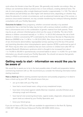cycle where the female is less than 35 years. We generally only transfer one embryo. Also, an embryo can sometimes divide to produce two or more embryos, creating identical twins. The risk of a twin pregnancy after a single blastocyst transfer is approximately 1 in 100. The risks of birth defects and still birth(s) are often higher with identical twins, depending on whether they share the placenta. In certain circumstances, such as advanced maternal age of the woman, or previous unsuccessful treatment, we may consider transferring two embryos following detailed consultation with your Fertility Specialist.

Outcomes for babies: Every pregnancy, whether conceived naturally or by assisted reproduction has a risk that the baby may be born with a serious medical condition, either from a chromosome error or the combination of genetic material from both parents. There may be as yet, unknown inherited genes which are the cause of infertility. The risk of birth defects in children conceived naturally is 1 in 50 to 1 in 33 (2-3%) whereas the risk of birth defects in children conceived by IVF is estimated by the American Society for Reproductive Medicine (ASRM) to be 1 in 38 to 1 in 26 (2.6-3.9%). Also, there may be an increased risk of sex chromosome abnormalities, hypospadias (urinary opening not at the tip of the penis) and imprinting disorders when intracytoplasmic sperm injection (ICSI) is performed as part of IVF. There may be other rare conditions that are more common in children born after IVF; for example Beckwith-Wiedemann syndrome which is thought to be increased from about 1 in 14,000 to 35,000 in spontaneously conceived babies to about 1 in 4,000. For up-to-date information you should consult your Fertility Specialist. You should not assume that genetic testing or PGD is automatically conducted.

# Getting ready to start - information we would like you to be aware of

We would like to assist you to be in the best possible state of health and preparation before commencing treatment with us. We recommend you consider the following information before starting treatment.

Have a check-up: Before starting assisted reproduction and possibly pregnancy it is ideal to have a check-up by your GP. You should ensure that you:

- are up-to-date with your Pap test;
- have had a recent breast exam, ruling out any unexplained lumps;
- have been immunised against rubella (German measles), varicella (Chicken pox), whooping cough and influenza;
- have had all viral screening blood tests, vaginal swabs, diagnostic ultrasounds and sperm tests as ordered by your Fertility Specialist; and
- know your blood group.

If you do not have a GP, Clinic GPs are available for appointment in the Kent St, Sydney (1300 367 198) and Genea Hollywood Fertility (08 9389 4200) clinics.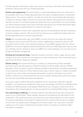Consider genetic screening to reduce your risk of conceiving a child with a serious genetic syndrome. Discuss this with your Fertility Specialist.

Nutrition and supplements: You should follow a nutritionally adequate diet and, where this is not possible, talk to your Fertility Specialist about the value of supplementation or alternative dietary advice. You must be careful to not take more than the recommended daily allowance of Vitamin A, because higher amounts can cause birth defects. Taking extra folic acid before and after the time of conception greatly decreases the risk of spina bifida. It is recommended you take at least 0.8 mg per day (unless otherwise directed by your Fertility Specialist). Many women also require supplementation of vitamin D and iodine.

Herbal preparations contain active ingredients that are not standardised and their mechanism of action is largely unknown. We recommend you discuss your supplement regime with your Fertility Specialist prior to commencing treatment.

Weight: An increased body mass index (BMI) in women and men can reduce the chance of pregnancy and success with IVF and in women, significantly increase the risks from IVF procedures and the risks in any achieved pregnancy. If your BMI is greater than 35, national guidelines recommend against assisted reproduction and your Fertility Specialist may not treat your infertility until you attempt to lower your BMI. If you need assistance, we can refer you for weight and lifestyle management.

Smoking and recreational drugs: Cigarette smoking is harmful to sperm, eggs, and very early embryos. If you are a smoker we encourage you to stop smoking now. Any recreational drug or steroid use should be stopped completely.

Genetic testing: We recommend that you consider your family history (where possible) and ensure you have discussed your detailed medical and family history with your Fertility Specialist. There are tests for genetic diseases available that should be considered depending on your particular medical or family medical history, age or ethnic origin as it might be possible to test for your carrier status and prevent transmission of genetic disorders to your future children. It should never be assumed that any kind of genetic testing will be performed unless this has been specifically discussed and agreed to.

If you carry a gene mutation that gives a significant risk of conceiving a child with a genetic condition, or a chromosome change that could cause miscarriage or the birth of an affected child, it's likely our PGD Scientists could design a PGD test for your embryos to reduce the risk of transmission. New Zealand patients can discuss options for accessing PGD testing in Australia.

Your psychological wellbeing: Your fertility treatment may add extra stress and increase the strain on your relationships. These feelings may also be increased by the side effects of the medications. The treatment process can mean that some people experience a roller coaster of emotions depending on the length of treatment and its outcome. We provide counselling services that can greatly assist managing this emotional impact. You may want to consider meeting one of our team of dedicated Counsellors before or during your treatment. More information is available: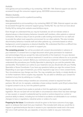### Australia

www.genea.com.au/counselling or by contacting 1300 361 795. External support can also be accessed through the consumer support group, ACCESS www.access.org.au.

### Western Australia

www.hollywoodivf.com/im-a-patient/counselling

### New Zealand

www.geneaoxford.co.nz/counselling or by contacting 0800 377 894. External support can also be accessed through the consumer support group, Fertility NZ. You can find out more about Fertility NZ by visiting their website www.fertilitynz.org.nz.

Even though we understand that you may be frustrated, we will not tolerate verbal or physical abuse or discriminatory behaviour towards staff members, other patients or external contractors. We have a duty of care to provide a safe working environment for our staff and to provide the safest most supportive environment for our other patients. This also includes discriminatory behaviour towards staff and other patients e.g. comments based on ethnic background, current pregnancy or physical disability. We understand that this is a difficult time and we will do everything in our power to support you.

The consenting process: You will be provided with consent documentation in advance of your treatment. A consent form is a legal document which gives permission for treatment and acknowledges that you accept the risks and benefits of the treatment. It is your decision whether to be treated (or to continue treatment). It would be a criminal offence for us to provide treatment without your consent. Before you commence your treatment it is important that you understand the procedures your Fertility Specialist is planning for you and the potential risks and benefits. This booklet is an outline to your treatment, but you should talk with your Fertility Specialist or Nurse Coordinator if you have any questions before you sign the consent forms. Depending on your type of treatment, you will be required to sign one or more consent forms. Your circumstances may change over time. You may complete your family, or simply decide on no further treatment. Some couples may separate. You are able to withdraw your consent for treatment at any time by advising us, in writing.

Please note that where embryo transfers are concerned, consent is required from both partners. We will not, for example, undertake a frozen embryo transfer cycle (Cryo) unless there is signed consent to do so, from the patient's partner.

Nothing in the consent forms seeks to exclude or limit the application of any applicable legislation. We are not (and will not be) liable in circumstances where there has been damage or loss caused, or caused in substantial part by events or actions beyond our control or practical ability to detect, including but not limited to accidents not attributable to our conduct, changes to laws or regulations, industrial action or orders of a court.

Preparing for the future: Consideration should be given to the future outcome of any eggs, sperm or embryos that result from your treatment. This includes both what you would like to happen to gametes/embryos that are in excess to your reproductive needs and in the event that one or both partners die, you separate, or become unable to vary your instructions. 25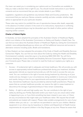Our team can assist you in considering your options and our Counsellors are available to help you make a decision that is right for you. You should include instructions in your Genea consents and we recommend that you also include details in your Will(s).

Legislation, regulations and guidelines vary between State and Country jurisdictions. We recommend that you read your Genea consents carefully and also consider whether legal advice is appropriate for your particular situation.

These rules may restrict (or prohibit) the use of reproductive tissues after death, especially in the absence of written consent. In the event of no instructions, impractical or conflicting instructions, gametes/embryos may be discarded upon the death of either partner without requiring further consent.

# Charter of Patient Rights

In Australia, we have adopted the principles of the Australian Charter of Healthcare Rights, which is an initiative of the Australian Commission on Safety and Quality in Health Care. You can find out more about the Australia Charter of Healthcare Rights by visiting the Commission's website: www.safetyandquality.gov.au where you will find additional resources and access to alternative versions including audio, Braille and translations.

In New Zealand, we have adopted the principles of the Code of Health and Disability Services Consumers' Rights. You can find out more about the Code by visiting the Health and Disability Commissioner's website: www.hdc.org.nz or by phoning 0800 555 050. You will find a brochure detailing the Code of Health and Disability Services Consumers' Rights included in your Consents pack. Please take a moment to read the Code as it explains your rights as a consumer.

- 1. Access A fundamental right to adequate and timely healthcare. We will provide you with access to appropriately trained healthcare professionals during your treatment; facilitate appropriate referrals as required and provide you with the tools to access the care you need. You can contribute to the right of access during treatment by informing us of your needs and any changes in your circumstances, being available to receive your instructions and results, being on time for your appointments and ensuring timely payment of any fees. Sometimes healthcare may be provided by external health practitioners. Please be aware that as a private healthcare provider, we reserve the right to cease treatment or discontinue the storage of gametes/embryos if fees remain outstanding.
- 2. Safety A right to safe and high quality care. You can contribute to the right of your safety by alerting your Fertility Specialist and/or your team if you are unsure about what is happening to you, or if you think something has been missed in your care, or if there are any circumstances that might make your healthcare riskier. We request that all staff and patients are treated with respect. Please make suitable arrangements for care of your children when you visit us – our staff are not permitted to care for your children. Medical equipment in our clinics may be hazardous to children and Department of Health license requirements do not permit children in the Day Surgery at any time. Please be aware that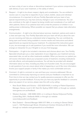we have a duty of care to refuse or discontinue treatment if your actions compromise the safe delivery of your care/ treatment, or the safety of others.

- 3. Respect A right to be shown respect, dignity and consideration. You are entitled to receive care in a way that is respectful of your culture, beliefs, values and individual circumstances. It is important to tell your Fertility Specialist and your team of any special requirements you may have and any changes in your circumstances. You can also contribute to the right of respect by being mindful and considerate of our staff and other patients. Some of our patients have told us that the presence of children in our waiting areas is distressing. Where possible we request that you please make alternative arrangements.
- 4. Communication A right to be informed about services, treatment, options and costs in a clear and open way. Your Fertility Specialist and your team will tell you about the care you are receiving and help you understand what is happening. You can contribute by being open and honest, being available to receive results and instructions and attend appointments as required during your treatment. To understand the instructions given to you, we encourage you to ask questions if you would like more information. We can arrange an interpreter for you if English is not your first language.
- 5. Participation A right to be included in decisions and choices about care. Your Fertility Specialist should give you a clear explanation of your diagnosis, your treatment and any associated risks, as well as other treatments available. When you become our patient you will receive information about your proposed course of treatment, including medications and side effects, and anticipated procedures. You will also be provided with detailed information about our fees, including any likely out-of-pocket costs. You are encouraged to ask questions if you are unsure about what is happening or you'd like more information. Involve your support people or family if this makes you more comfortable and sure.
- 6. Comment -A right to comment on care and have your concerns addressed. We are committed to continuously improving our service and your feedback is important to us. From time to time we may contact you for quality assurance purposes to offer you the opportunity to provide feedback. If at any time you have any specific feedback or concerns about any aspect of our service, please raise this with us by calling:
	- New South Wales and Victoria (02) 9229 6420; in writing to Patient Experience Manager, Genea, Level 2, 321 Kent St, Sydney NSW 2000; or through our website www.genea.com.au/feedback.
	- Western Australia (08) 9389 4200; or in writing to Genea Hollywood Fertility, Locked Bag 2001, Nedlands 6909; or through our website www.hollywoodivf.com/feedback
	- New Zealand General Manager 0800 377 894; or in writing to Genea Oxford, Level 1, 132 Peterborough Street, Christchurch Central, Christchurch 8013; or through our website www.geneaoxford.co.nz/feedback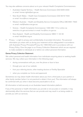You may also address concerns about us to your relevant Health Complaints Commissioners:

- Australian Capital Territory Health Services Commission (02) 6205 2222 or email: human.rights@act.gov.au
- New South Wales Health Care Complaints Commission (02) 9219 7444 or email: hccc@hccc.nsw.gov.au
- Western Australia Health and Disability Service Complaints Office (08) 6551 7620 or email: mail@hadsco.wa.gov.au
- Victoria Health Complaints Commissioner 1300 282 113 or online via www.hcc.vic.gov.au/contact or email: hcc@hcc.vic.gov.au
- New Zealand Health and Disability Commissioner 0800 11 22 33 or email: hdc@hdc.org.nz
- 7. Privacy a right to privacy and confidentiality of provided information. The personal information you share with us during your treatment will be safeguarded in accordance with Australian Privacy Principles/Privacy Act 1993 (NZ) and in accordance with our Privacy Policy. Over the page is our Privacy Collection Statement which we are required to make available to individuals at or before we collect personal information.

# Genea Privacy Collection Statement:

We collect personal and health information from individuals enquiring about or seeking health services. We may collect your information in the following ways:

- during conversations with you, over the phone or face to face
- through your use of our website
- from your referring doctor, other treating doctors or Fertility Specialist
- when you complete our forms and paperwork

Sometimes we may obtain health information about you from a third party ie your partner or other family member (when it is not practical to obtain it from you). This information will always be confirmed with you when it does become practicable to do so.

All information is held securely on an Australian based information platform.

If any of the personal or health information you provide is not accurate or complete, it may detrimentally affect the services that we can provide and may result in us being unable to provide you with our services.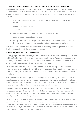### For what purposes do we collect, hold, and use your personal and health information?

Your personal and health information is collected and used to ensure you can be informed about the services that we provide, that you receive the best possible care if you become our patient, and for us to manage the health services we provide to you effectively. It will also be used to:

- send communications (including results) to you and your referring and treating doctors
- provide information and advice
- conduct business processing functions
- update our records and keep your contact details up to date
- respond to any complaint made by you
- comply with any law, rule, regulation, lawful and binding determination, decision or direction of a regulator, or in co-operation with any governmental authority

It will also be used internally for the administrative, marketing, planning, product or service development, quality control and research purposes.

### To whom may we disclose your information?

The only people who ordinarily see your health information are the ones who really need it - the health professionals directly involved in your treatment. However, if you are hospitalised as a result of your treatment and your records are needed urgently, they will be forwarded to the relevant medical professional without waiting for written consent.

We may disclose your personal and health information to our employees, related bodies corporate, contractors and service providers for the purposes of us providing the health service to you and managing our business (ie our computer systems) subject to strict confidentiality obligations.

Health information may also be provided to third parties if we are legally obliged to do so by a court subpoena, statutory authority, search warrant, coronial summons or to defend a legal action. If information is requested by a third party connected to you it must be accompanied by an original written authorisation from you to release that information.

There may be instances where mailing houses, couriers, payment processors, data entry services providers, electronic network administrators and debt collectors are provided with some of your personal details. They will never have access to your treatment information and are subject to strict confidentiality obligations.

We undertake and participate in medical research with collaborators that sometimes involves identifiable health information. Such research proposals must be presented to our Ethics Committee for approval prior to any project commencing and must follow strict guidelines. We will always request your permission to be involved in such research and your written consent to release your information to third party researchers.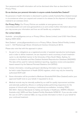Your personal and health information will not be disclosed other than as described in the Privacy Policy.

### Do we disclose your personal information to anyone outside Australia/New Zealand?

No personal or health information is disclosed to parties outside Australia/New Zealand except in circumstances where you request and consent to its release (ie the shipment of biological material to an overseas clinic).

Our Privacy Policy: Our Privacy Policies are available at www.genea.com.au, www.hollywoodivf.com and www.geneaoxford.co.nz and contain further information about how you may access your information and how we will handle any complaints.

## Our contact details:

Australia - privacy@genea.com.au or Privacy Officer, Genea Limited, Level 2/321 Kent Street, Sydney NSW 2000.

New Zealand - privacy@geneaoxford.co.nz or Privacy Officer, Genea Oxford Fertility Limited, Level 1, 132 Peterborough Street, Christchurch Central, Christchurch 8013.

Please also note that with this approach in place:

- 1. As part of our obligations as a registered provider of assisted reproductive technologies and in order to deliver treatment, we are required to send a summary of each treatment cycle in a de-identified manner to the University of New South Wales, Sydney, for inclusion in the Australia and New Zealand Assisted Reproduction Database (ANZARD). The data will be used for national statistical reporting, regulatory review and population based research by the National Perinatal Statistics Unit (NPSU).
- 2. Certain information, including participant identifying information may be required to be held in state Department of Health (DOH) registers, which may only be viewed by authorised DOH staff.
- 3. Some information will be provided to Medicare (Australia)/NHI (New Zealand) and/or your approved health fund on your behalf, if requested to do so.
- 4. Medical records may be internally audited by our staff for quality improvement activities and externally audited by officers or certifying bodies performing inspections for the purpose of clinical audit, licensing or institutional accreditation, including, RTAC, ISO 9001, National Standards for Safety and Quality in Healthcare, WARTC (Western Australia only), NATA and New Zealand Fertility Standards NZS8181. If you are also under the care of a GP or external O&G, we may provide information to them on your behalf for your continued treatment.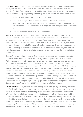Open disclosure framework: We have adopted the Australian Open Disclosure Framework (2013) and the New Zealand Health and Disability Commissioner Code of Health and Disability Services Consumers' Rights. Should you experience an adverse outcome (through error or incident) at any stage during your fertility treatment, we and our representatives will:

- Apologise and maintain an open dialogue with you;
- Give a factual explanation of events (which may take time to investigate and determine) - including the potential consequences as they relate to your individual circumstances; and the steps taken to manage the event and prevent re-occurrence; and
- Give you an opportunity to relate your experience.

Research: We have achieved our world leading results by a continuing commitment to scientific research and the generous participation of our patients. Our Australian research projects are approved by our independent Ethics Committee and are strictly governed by the National Health and Medical Research Council (NHMRC) of Australia. Clinically unsuitable oocytes/embryos are excluded from your IVF cycle in order to maximise treatment outcomes and would normally be discarded. There are a limited number of research projects in which clinically unsuitable oocytes and/or leftover sperm may be used without the need for further consent forms.

Oocytes/embryos originally frozen for future cycles, may at some point become excess to a patient's clinical need for different reasons (e.g. when the patient's family is complete). With your specific consent, these excess or clinically unsuitable oocytes/embryos can also be donated to research projects. Our research team is undertaking a number of research activities to continuously improve the way in which we treat our patients and to further medical knowledge for the treatment of genetic or acquired diseases. Not all research projects are suitable for every patient; our Research Consent Team may contact you with information specific to your circumstances over the course of your treatment. Separate specific written consent for research projects has to be given and no research activity will go ahead without it. Your participation is entirely voluntary and your relationship with your team will not be harmed if you decide not to take part. If you have any questions about our research projects please the Research Consent Team on (02) 8484 7692 or research.info@genea.com

Clinical trials: Our ability to conduct world leading treatment is greatly assisted by the ability to offer clinical trials to our patients. New protocols, culture media and devices are extensively tested in pre-clinical studies. Apart from giving our patients access to the most advanced IVF protocols, clinical trials are usually conducted to determine final validation and usability studies in a clinical setting. Participation in clinical trials is entirely voluntary. Your decision will not affect the standard of care you receive or the relationship you have with your team. Details specific to current trials including study description, information about confidentiality, consent processes, potential risks and benefits of active clinical trials will be provided to you during your treatment. Please note that not all current clinical trials will be relevant to your specific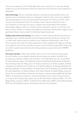clinical circumstances. Your Fertility Specialist may contact you (or may have already spoken to you) with information about the clinical trial most relevant to your treatment, if applicable.

New technology: We are constantly seeking to provide the best possible care to our patients and to constantly improve our laboratory methods. This involves the validation and implementation of new and improved IVF techniques, IVF devices and IVF media during a clinical treatment cycle. For example, sperm may be prepared for use in your treatment in more than one way to compare new technologies with standard technologies. Eggs or sperm or embryos may be prepared or grown in more than one kind of culture medium or vitrified using different techniques. De-identified images of your gametes/embryos may be used for marketing/research purposes.

Quality improvement and training: Our ability to conduct high quality IVF procedures is dependent upon method development and ongoing training. During your journey with us, staff under training may be involved in your treatment and laboratory work. At all times trainees work under the direct supervision of fully qualified staff. Eggs or embryos not suitable for clinical use and leftover sperm would normally be discarded. These may be used for quality improvement and training purposes as governed by the NHMRC guidelines.

Pecuniary interests: Unlike many fertility clinics, we are not owned by private equity firms, but rather, we are largely owned by doctors past and present, and staff who provide your treatment. Please note that Assoc. Prof. Mark Bowman, Dr Lincoln Brett, Dr Janene Brown, Assoc. Prof. Michael Cooper, Dr Gabrielle Dezarnaulds, Dr Michael East, Dr Alison Gee, Dr Hilary Joyce, Dr Devora Lieberman, Dr Antony Lighten, Dr Mark Livingstone, Dr Derek Lok, Dr Tween Low, Dr Anthony Marren, Dr Gregory McGrath, Dr Myvanwy McIlveen, Dr Harry Merkur, Dr Helen Peric, Prof John Rasko, Dr Geoffrey Reid, Dr Lionel Reyftmann, Dr Katrina Rowan, Prof. Peter Russell, Dr David Shelley-Jones, Dr Simon Turner, and Dr Robert Woolcott own shares in Genea Limited (ABN 82 002 844 448) or an associated company or entity and therefore have a direct financial interest in us and in the licensed day surgery units at 321 Kent Street, Sydney, NSW; 173-175 Bigge Street, Liverpool, NSW; 10 Norbrik Drive, Bella Vista, NSW; 2 King Street Deakin, ACT and 132 Peterborough St, Christchurch Central, New Zealand.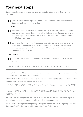# Your next steps

Use the checklist below to ensure you have completed all steps prior to Day 1 of your treatment:

| Carefully reviewed and signed the attached 'Request and Consent for Treatment'<br>document and returned to the clinic*.                                                                                                                                                                     |
|---------------------------------------------------------------------------------------------------------------------------------------------------------------------------------------------------------------------------------------------------------------------------------------------|
| Australia:                                                                                                                                                                                                                                                                                  |
| A valid and current referral for Medicare claimable cycles. This must be dated and<br>received by your treating Doctor prior to Day 1 of your cycle. If you do not have a<br>valid referral you will be unable to claim a Medicare rebate. (Applicable for those<br>with Medicare coverage) |
| Completed the online payment registration and returned your signed quote to the<br>clinic (refer to your quote for registration instructions). This will allow Genea to<br>process your payments and lodge any applicable claims with Medicare and/or your<br>Health fund on your behalf.   |
| New Zealand:                                                                                                                                                                                                                                                                                |
| Completed the payment for treatment and returned your signed quote to Genea<br>Oxford                                                                                                                                                                                                       |
| *You may withdraw your consent for treatment at any time prior to the procedure, in writing                                                                                                                                                                                                 |

ENGLISH: If you need this information interpreted for you into your language please advise the receptionist when you book your appointment.

MAORI: Ki te hiahia koe ki ēnei kōrero i tō ake reo, tēnā whakamōhitia te kaiwhakatau manuhiri i te taupaepae i te wā e whakarite ana koe i tō hui.

 دنع لابقتسالا فظوم غالبإ ىجري كتغل يف كل رسفت تامولعملا هذه ىلإ ةجاحب تنك اذإ :ARABIC .زجحلا

CHINESE: 如果您需要使用此信息为您解释您的语言请告诉接待员当您 预订您的约会。

ITALIAN: Se avete bisogno di questa informazione interpretato per voi nella vostra lingua si prega di avvisare la reception quando si prenota il tuo appuntamento.

VIETNAMESE: Nếu bạn cần thông tin này được giải thích cho các bạn vào ngôn ngữ của bạn Xác nhận các nhân viên tiếp tân tại khi bạn cuốn sách cuộc hẹn của bạn.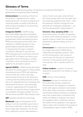# Glossary of Terms

For a more detailed glossary please visit genea.com.au/glossary (Australia) or geneaoxford.co.nz/glossary (New Zealand).

Amniocentesis: the sampling of fluid from the amniotic or gestational sac, usually performed around 14 weeks of pregnancy to check the genetic normality of the fetus by determining its karyotype or for performing biochemical tests.

Antagonist (GnRH): a GnRH-analog that (unlike GnRH-agonists) immediately stops the pituitary gland from releasing the gonadotropins follicle stimulating hormone (FSH) and luteinizing hormone (LH). Can substitute for GnRH-agonists for many gynaecological purposes (particularly to suppress the LH surge in assisted conception), although its use with pure FSH preparation (such as Fertinex, Gonal-F, Metrodin HP or Puregon) can lead to poor egg quality unless the dosage is carefully controlled or some luteinizing hormone is added to the stimulation regimen.

Agonist (GnRH): a GnRH-analog that briefly stimulates the pituitary gland to release follicle stimulating hormone (FSH) and luteinizing hormone (LH), then within a few days reduces these hormones to low levels (you could say that the pituitary has had a clamp put on it), stopping them from competing with administered hormones—and, particularly in women, suppressing the LH surge that otherwise can spoil the timing of egg retrieval in an assisted conception program such as IVF (all clinics) and GIFT (New Zealand only).

ART: assisted reproductive technology

**Blastocyst:** stage of development of the embryo in which a fluid-filled cavity forms in the formerly solid ball of cells (the 'morula'), about 5 days after fertilisation. For the first time, a distinction can be made between a

sheet of cells to one side, which will form the embryo proper (the inner cell mass), and the remaining, peripheral cells, which – after the blastocyst 'hatches' through the zona pellucida and undergoes implantation – will form the placenta (the "trophectoderm").

Chorionic villus sampling (CVS): a test performed at about 10 weeks of pregnancy at which, under ultrasound guidance, a small sample of tissue is taken from the placenta (afterbirth) for genetic testing, such as a karyotype.

**Chromosome:** the visible structure formed by a single long strand of DNA with its supporting and regulatory proteins. There are 46 chromosomes in the nucleus of every human cell, 22 pairs of "autosomes" (common to both sexes) and the two sex chromosomes, XX in a female and XY in a male.

**Culture medium:** a solution of nutrients required for the growth of an embryo or tissue in culture.

CVS: chorionic villus sampling

**Cytoplasm:** the part of a cell that is not the nucleus (the nucleus contains the chromosomes). The cytoplasm is contained by the cell's 'plasma membrane' and contains all the other cellular structures, including the mitochondria. Genetic inheritance is mostly by way of the nucleus (with a contribution from mother and father); a small part is by way of the cytoplasm (with a contribution only from the mother). It's the cytoplasm of the egg into which a sperm cell is injected in the process of 'intracytoplasmic sperm insertion' (ICSI).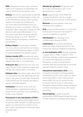DNA: deoxyribose nucleic acid, a molecule made up of a sequence of nucleotides, the order of which forms the genetic code.

**Embryo:** the word is used loosely to describe everything from a fertilised egg to a fetus. Up to the time that the embryo would normally implant in the uterus (as a blastocyst), any of the cells of the fertilised ovum can develop into a whole new embryo - they are 'totipotent'. After implantation a group of cells (the inner cell mass) differentiates to form the embryo itself (later the fetus), whereas remaining cells go on to form 'afterbirth' tissues, namely the pregnancy membranes and placenta.

**Embryo biopsy:** the procedure whereby five or six cells are removed from an embryo (performed at the blastocyst stage, on Day 5 or 6 after fertilisation) for genetic analysis.

**Embryo transfer (ET):** procedure by which the embryo is placed in the uterus or into the fallopian tube after *in vitro* fertilisation.

**Embryonic disc:** derived from the inner cell mass. The part of the implanted embryo that will form the embryo itself, i.e. the fetus.

Fallopian tube: the hollow organ, about 10 to 12 centimetres long, that effectively joins the ovary to the uterus on each side. Composed of the fimbrial end, the ampulla, the isthmus and the interstitial segment.

Fertilisation: the fusion of the male and female gametes, a spermatozoon with an oocyte to form an embryo and, potentially to create a new individual.

### Fluorescent in-situ hybridisation (FISH): a

technique using fluorescently tagged pieces of synthetic DNA ("probes") to label particular regions of a chromosome so that it can be seen under a fluorescence microscope using ultraviolet light. 35

Gamete (pl. gametes): the generic term for a male or female germ cell, i.e. the spermatozoon or oocyte.

Gene: a specific part of the DNA that contains the genetic code for a single molecule such as an enzyme or other protein.

Genome: the entire genetic code of an individual cell or organism.

**HLA:** surface proteins present on most cells (including the fetus) and responsible for immune recognition or rejection.

**Hybridisation:** the matching of two complementary strands of DNA.

Implantation: the process whereby the blastocyst-stage embryo burrows into the lining of the uterus to establish a pregnancy.

*In vitro* **fertilisation (IVF):** literally, fertilisation "in glass" (but in reality "in plastic"). This technique, whereby oocytes and spermatozoa are mixed in the laboratory to achieve fertilisation, is used as a treatment for infertility when the process has not occurred naturally inside the woman's body.

Intrauterine insemination (IUI): a form of assisted conception involving assisted insemination into the uterus, either for donor insemination (DI) or with a male partner's semen (AIH). IUI can be carried out with a woman's natural cycles or with ovarian stimulation (superovulation) using clomiphene or follicle stimulating hormone, with ovarian monitoring.

Karyomapping: a single nucleotide polymorphism (SNP) based linkage test used to track inheritance of disease gene regions.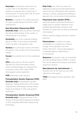**Karyotype:** a preparation made from one or more cells in the laboratory to study whether an individual has a normal set of chromosomes. A normal male is 46, XY while a normal female is 46, XX.

**Mutation:** a change in the coding sequence of a gene usually altering its function, often causing harm.

Next Generation Sequencing (NGS) (Australia only): molecular genetic technique

that allows determination of the number of chromosomes in an embryo.

**Nucleotide:** one of the molecular building blocks of DNA. A set of three nucleotides forms one letter in the genetic code.

**Nucleus:** the central part of each cell where the genetic code carried in the chromosomes resides.

**Oocyte:** the scientific term for the unfertilised egg.

OPU: oocyte pick up, the term used to describe the clinical procedure during which unfertilised eggs are collected from a woman's ovaries. Also called TVOA (transvaginal ovarian aspiration).

**PCR:** polymerase chain reaction.

Preimplantation Genetic Diagnosis (PGD) (Australia only): preimplantation genetic diagnosis. Testing performed on the embryo using Genea's technology involving embryo biopsy and analysis of cells using genetic techniques.

Preimplantation Genetic Screening (PGS) (Australia only): testing performed on the embryo involving embryo biopsy and analysis of cells using Next Generation Sequencing technology.

Polar body: one of the two small cell fragments produced and discarded during each of the two cell divisions that comprise meiosis in women, subsequently yielding an egg with one, not two sets of chromosomes.

### Polymerase chain reaction (PCR): a

molecular genetic technique that allows a single copy of a genetic sequence to be amplified geometrically to produce vast numbers of copies that can then be measured and analysed.

PCR is used for linkage and direct mutation detection.

Polymorphism: a variation of a gene comparable to a mutation but common enough in the population not to be strictly "abnormal"; may be advantageous or disadvantageous, depending on circumstances.

**Sequence:** the specific order of nucleotides, the basic building blocks of DNA, in a gene. This can be determined using an automated sequencer machine.

Spermatozoon (pl. spermatozoa): the scientific term for the male sex cell, often referred to as the sperm.

**TVOA:** transvaginal ovarian aspiration. See OPU.